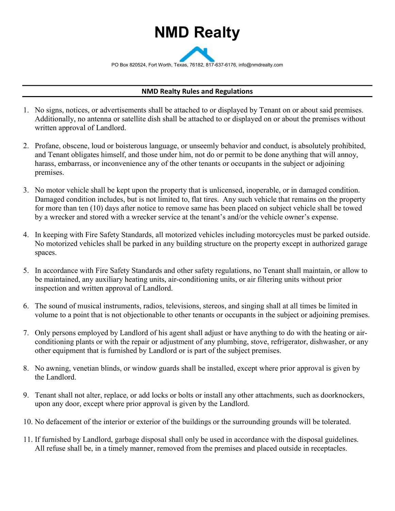## NMD Realty

PO Box 820524, Fort Worth, Texas, 76182, 817-637-6176, info@nmdrealty.com

## NMD Realty Rules and Regulations

- 1. No signs, notices, or advertisements shall be attached to or displayed by Tenant on or about said premises. Additionally, no antenna or satellite dish shall be attached to or displayed on or about the premises without written approval of Landlord.
- 2. Profane, obscene, loud or boisterous language, or unseemly behavior and conduct, is absolutely prohibited, and Tenant obligates himself, and those under him, not do or permit to be done anything that will annoy, harass, embarrass, or inconvenience any of the other tenants or occupants in the subject or adjoining premises.
- 3. No motor vehicle shall be kept upon the property that is unlicensed, inoperable, or in damaged condition. Damaged condition includes, but is not limited to, flat tires. Any such vehicle that remains on the property for more than ten (10) days after notice to remove same has been placed on subject vehicle shall be towed by a wrecker and stored with a wrecker service at the tenant's and/or the vehicle owner's expense.
- 4. In keeping with Fire Safety Standards, all motorized vehicles including motorcycles must be parked outside. No motorized vehicles shall be parked in any building structure on the property except in authorized garage spaces.
- 5. In accordance with Fire Safety Standards and other safety regulations, no Tenant shall maintain, or allow to be maintained, any auxiliary heating units, air-conditioning units, or air filtering units without prior inspection and written approval of Landlord.
- 6. The sound of musical instruments, radios, televisions, stereos, and singing shall at all times be limited in volume to a point that is not objectionable to other tenants or occupants in the subject or adjoining premises.
- 7. Only persons employed by Landlord of his agent shall adjust or have anything to do with the heating or airconditioning plants or with the repair or adjustment of any plumbing, stove, refrigerator, dishwasher, or any other equipment that is furnished by Landlord or is part of the subject premises.
- 8. No awning, venetian blinds, or window guards shall be installed, except where prior approval is given by the Landlord.
- 9. Tenant shall not alter, replace, or add locks or bolts or install any other attachments, such as doorknockers, upon any door, except where prior approval is given by the Landlord.
- 10. No defacement of the interior or exterior of the buildings or the surrounding grounds will be tolerated.
- 11. If furnished by Landlord, garbage disposal shall only be used in accordance with the disposal guidelines. All refuse shall be, in a timely manner, removed from the premises and placed outside in receptacles.